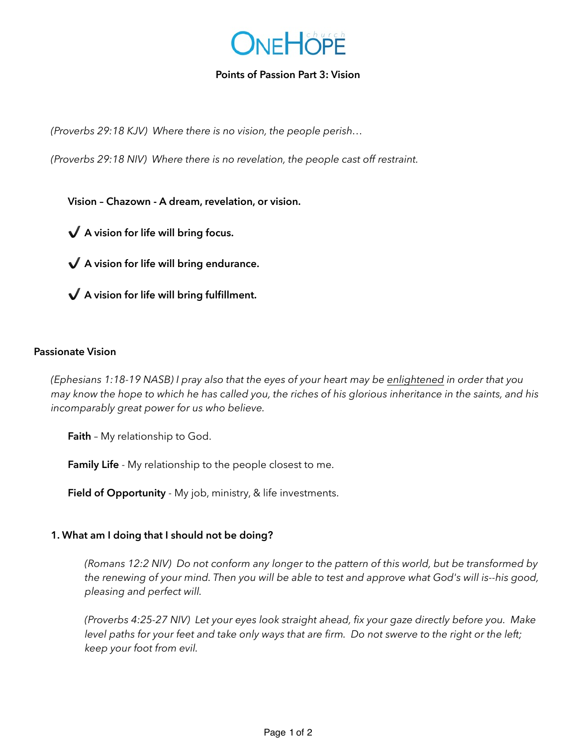

### **Points of Passion Part 3: Vision**

*(Proverbs 29:18 KJV) Where there is no vision, the people perish…*

*(Proverbs 29:18 NIV) Where there is no revelation, the people cast off restraint.* 

**Vision – Chazown - A dream, revelation, or vision.** 

✔ **A vision for life will bring focus.** 

✔ **A vision for life will bring endurance.** 

✔ **A vision for life will bring fulfillment.** 

#### **Passionate Vision**

*(Ephesians 1:18-19 NASB) I pray also that the eyes of your heart may be enlightened in order that you may know the hope to which he has called you, the riches of his glorious inheritance in the saints, and his incomparably great power for us who believe.* 

**Faith** – My relationship to God.

 **Family Life** - My relationship to the people closest to me.

 **Field of Opportunity** - My job, ministry, & life investments.

#### **1. What am I doing that I should not be doing?**

*(Romans 12:2 NIV) Do not conform any longer to the pattern of this world, but be transformed by the renewing of your mind. Then you will be able to test and approve what God's will is--his good, pleasing and perfect will.* 

*(Proverbs 4:25-27 NIV) Let your eyes look straight ahead, fix your gaze directly before you. Make level paths for your feet and take only ways that are firm. Do not swerve to the right or the left; keep your foot from evil.*